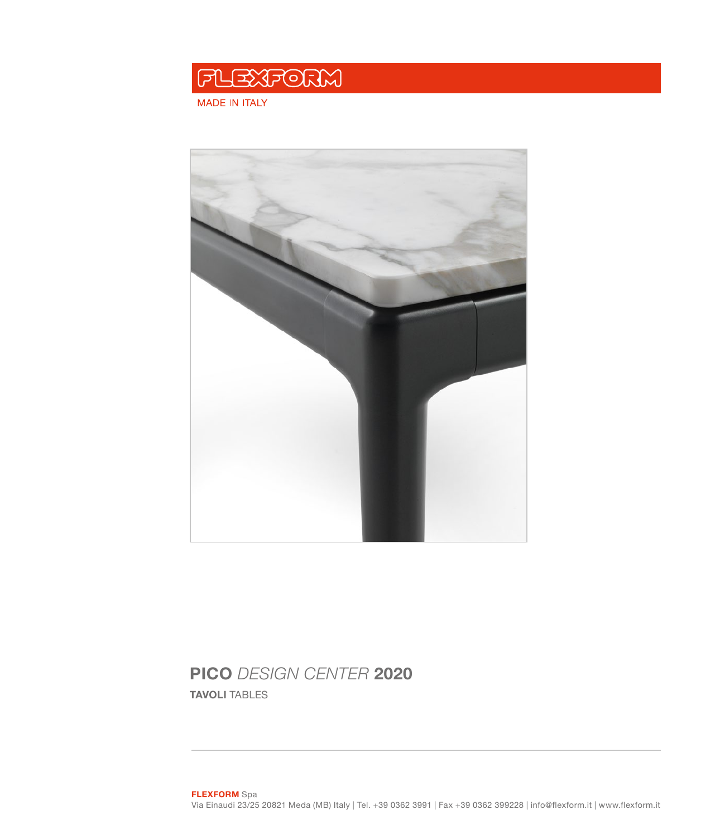

**MADE IN ITALY** 



## **PICO** *DESIGN CENTER* **2020 TAVOLI** TABLES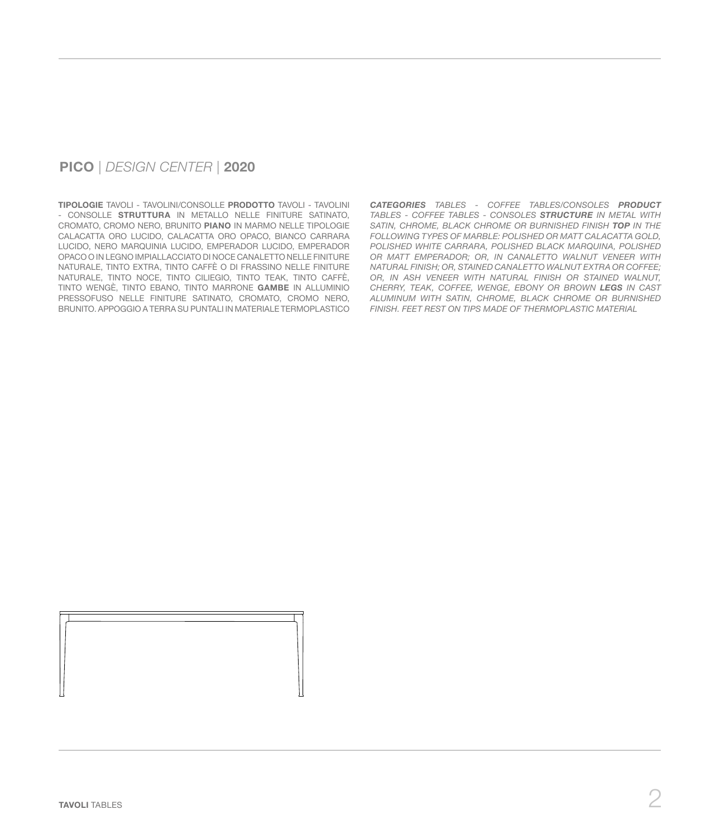## **PICO** *| DESIGN CENTER |* **2020**

**TIPOLOGIE** TAVOLI - TAVOLINI/CONSOLLE **PRODOTTO** TAVOLI - TAVOLINI - CONSOLLE **STRUTTURA** IN METALLO NELLE FINITURE SATINATO, CROMATO, CROMO NERO, BRUNITO **PIANO** IN MARMO NELLE TIPOLOGIE CALACATTA ORO LUCIDO, CALACATTA ORO OPACO, BIANCO CARRARA LUCIDO, NERO MARQUINIA LUCIDO, EMPERADOR LUCIDO, EMPERADOR OPACO O IN LEGNO IMPIALLACCIATO DI NOCE CANALETTO NELLE FINITURE NATURALE, TINTO EXTRA, TINTO CAFFÈ O DI FRASSINO NELLE FINITURE NATURALE, TINTO NOCE, TINTO CILIEGIO, TINTO TEAK, TINTO CAFFÈ, TINTO WENGÈ, TINTO EBANO, TINTO MARRONE **GAMBE** IN ALLUMINIO PRESSOFUSO NELLE FINITURE SATINATO, CROMATO, CROMO NERO, BRUNITO. APPOGGIO A TERRA SU PUNTALI IN MATERIALE TERMOPLASTICO *CATEGORIES TABLES - COFFEE TABLES/CONSOLES PRODUCT TABLES - COFFEE TABLES - CONSOLES STRUCTURE IN METAL WITH SATIN, CHROME, BLACK CHROME OR BURNISHED FINISH TOP IN THE FOLLOWING TYPES OF MARBLE: POLISHED OR MATT CALACATTA GOLD, POLISHED WHITE CARRARA, POLISHED BLACK MARQUINA, POLISHED*  OR MATT EMPERADOR; OR, IN CANALETTO WALNUT VENEER WITH *NATURAL FINISH; OR, STAINED CANALETTO WALNUT EXTRA OR COFFEE;*  OR, IN ASH VENEER WITH NATURAL FINISH OR STAINED WALNUT, *CHERRY, TEAK, COFFEE, WENGE, EBONY OR BROWN LEGS IN CAST ALUMINUM WITH SATIN, CHROME, BLACK CHROME OR BURNISHED FINISH. FEET REST ON TIPS MADE OF THERMOPLASTIC MATERIAL*

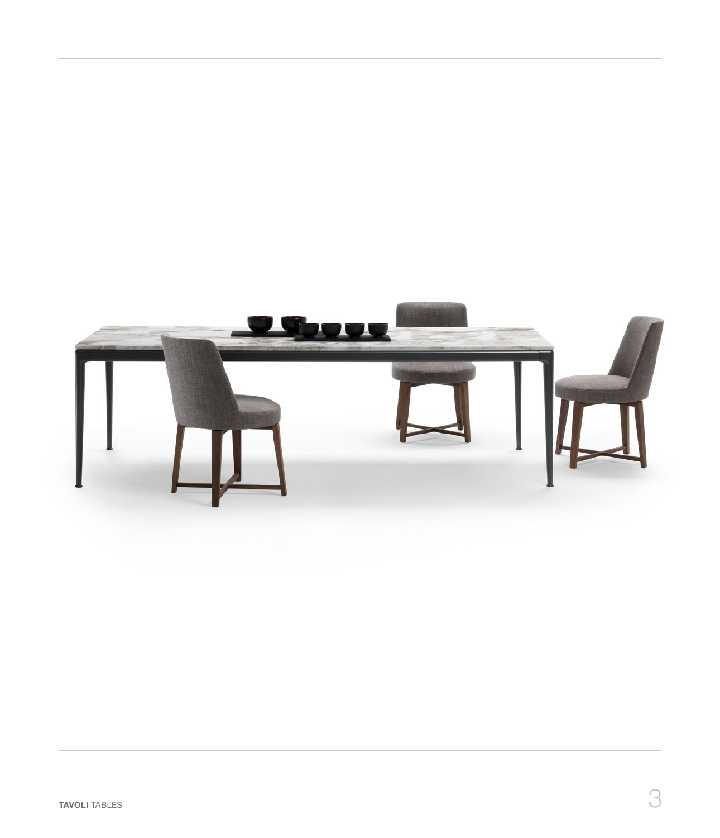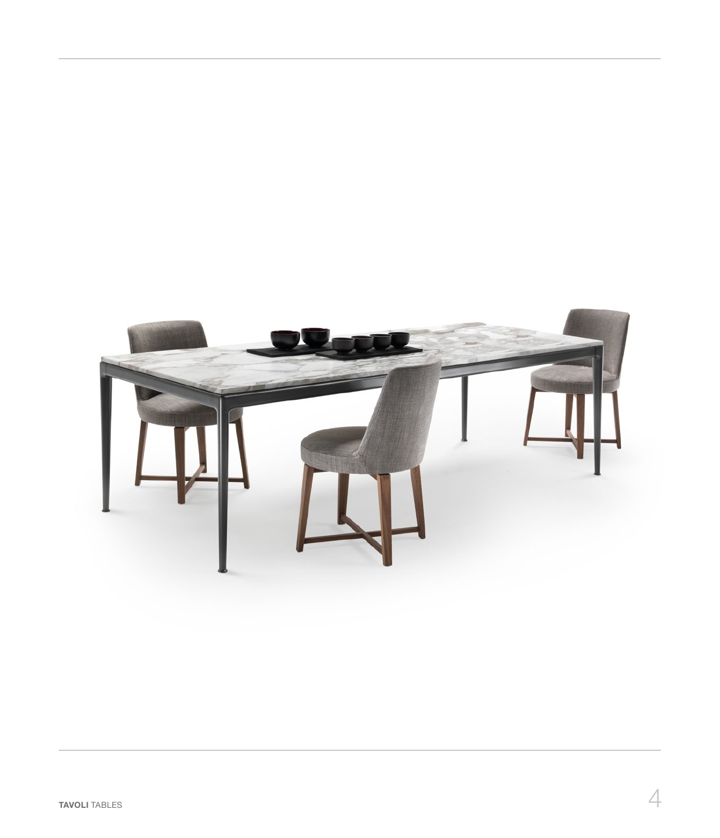